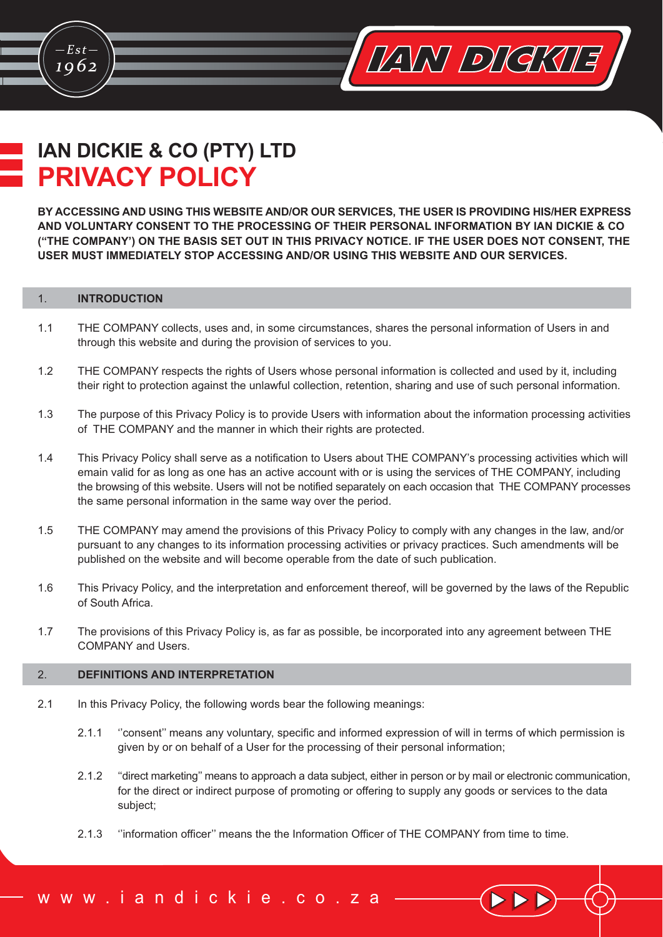# **IAN DICKIE & CO (PTY) LTD PRIVACY POLICY**

BY ACCESSING AND USING THIS WEBSITE AND/OR OUR SERVICES, THE USER IS PROVIDING HIS/HER EXPRESS AND VOLUNTARY CONSENT TO THE PROCESSING OF THEIR PERSONAL INFORMATION BY IAN DICKIE & CO ("THE COMPANY') ON THE BASIS SET OUT IN THIS PRIVACY NOTICE. IF THE USER DOES NOT CONSENT. THE USER MUST IMMEDIATELY STOP ACCESSING AND/OR USING THIS WEBSITE AND OUR SERVICES.

VANY DIGKUE

### **INTRODUCTION**  $1.$

 $Est$ 

1062

- $1.1$ THE COMPANY collects, uses and, in some circumstances, shares the personal information of Users in and through this website and during the provision of services to you.
- $1.2$ THE COMPANY respects the rights of Users whose personal information is collected and used by it, including their right to protection against the unlawful collection, retention, sharing and use of such personal information.
- The purpose of this Privacy Policy is to provide Users with information about the information processing activities  $1.3$ of THE COMPANY and the manner in which their rights are protected.
- $1.4$ This Privacy Policy shall serve as a notification to Users about THE COMPANY's processing activities which will emain valid for as long as one has an active account with or is using the services of THE COMPANY, including the browsing of this website. Users will not be notified separately on each occasion that THE COMPANY processes the same personal information in the same way over the period.
- $1.5$ THE COMPANY may amend the provisions of this Privacy Policy to comply with any changes in the law, and/or pursuant to any changes to its information processing activities or privacy practices. Such amendments will be published on the website and will become operable from the date of such publication.
- $1.6$ This Privacy Policy, and the interpretation and enforcement thereof, will be governed by the laws of the Republic of South Africa.
- $1.7$ The provisions of this Privacy Policy is, as far as possible, be incorporated into any agreement between THE **COMPANY and Users.**

#### $2.$ **DEFINITIONS AND INTERPRETATION**

- $21$ In this Privacy Policy, the following words bear the following meanings:
	- $2.1.1$ "consent" means any voluntary, specific and informed expression of will in terms of which permission is given by or on behalf of a User for the processing of their personal information;
	- $212$ "direct marketing" means to approach a data subject, either in person or by mail or electronic communication, for the direct or indirect purpose of promoting or offering to supply any goods or services to the data subject;
	- "information officer" means the the Information Officer of THE COMPANY from time to time.  $2.1.3$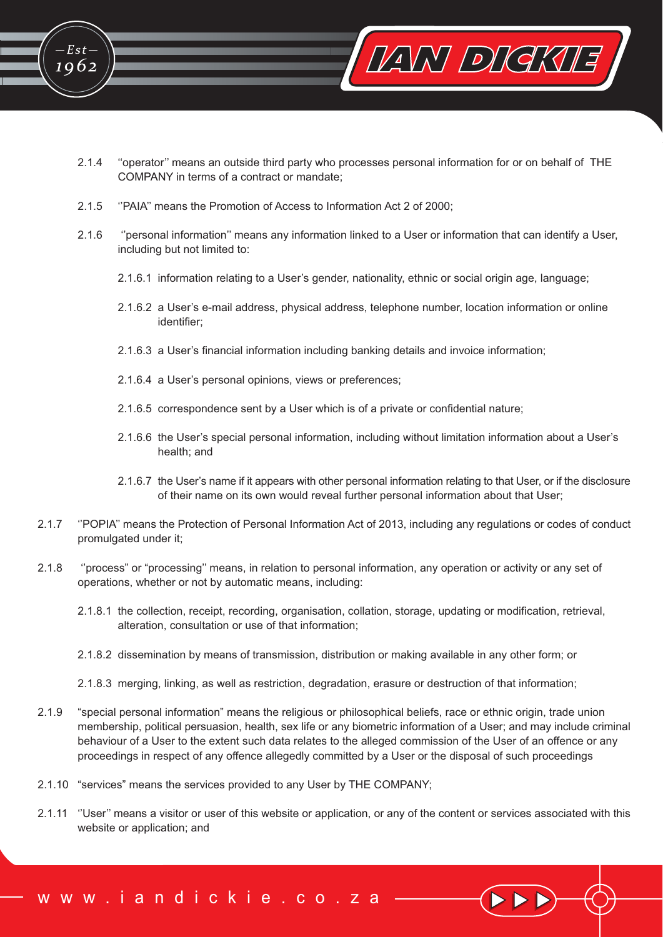

- $2.1.4$ "operator" means an outside third party who processes personal information for or on behalf of THE COMPANY in terms of a contract or mandate;
- $2.1.5$ "PAIA" means the Promotion of Access to Information Act 2 of 2000;

 $E$ st

1962

- $2.1.6$ "personal information" means any information linked to a User or information that can identify a User, including but not limited to:
	- 2.1.6.1 information relating to a User's gender, nationality, ethnic or social origin age, language;
	- 2.1.6.2 a User's e-mail address, physical address, telephone number, location information or online identifier:
	- 2.1.6.3 a User's financial information including banking details and invoice information;
	- 2.1.6.4 a User's personal opinions, views or preferences;
	- 2.1.6.5 correspondence sent by a User which is of a private or confidential nature:
	- 2.1.6.6 the User's special personal information, including without limitation information about a User's health; and
	- 2.1.6.7 the User's name if it appears with other personal information relating to that User, or if the disclosure of their name on its own would reveal further personal information about that User;
- $2.1.7$ "POPIA" means the Protection of Personal Information Act of 2013, including any regulations or codes of conduct promulgated under it;
- $2.1.8$ "process" or "processing" means, in relation to personal information, any operation or activity or any set of operations, whether or not by automatic means, including:
	- 2.1.8.1 the collection, receipt, recording, organisation, collation, storage, updating or modification, retrieval, alteration, consultation or use of that information;
	- 2.1.8.2 dissemination by means of transmission, distribution or making available in any other form; or
	- 2.1.8.3 merging, linking, as well as restriction, degradation, erasure or destruction of that information;
- $2.1.9$ "special personal information" means the religious or philosophical beliefs, race or ethnic origin, trade union membership, political persuasion, health, sex life or any biometric information of a User; and may include criminal behaviour of a User to the extent such data relates to the alleged commission of the User of an offence or any proceedings in respect of any offence allegedly committed by a User or the disposal of such proceedings
- 2.1.10 "services" means the services provided to any User by THE COMPANY;
- 2.1.11 "User" means a visitor or user of this website or application, or any of the content or services associated with this website or application; and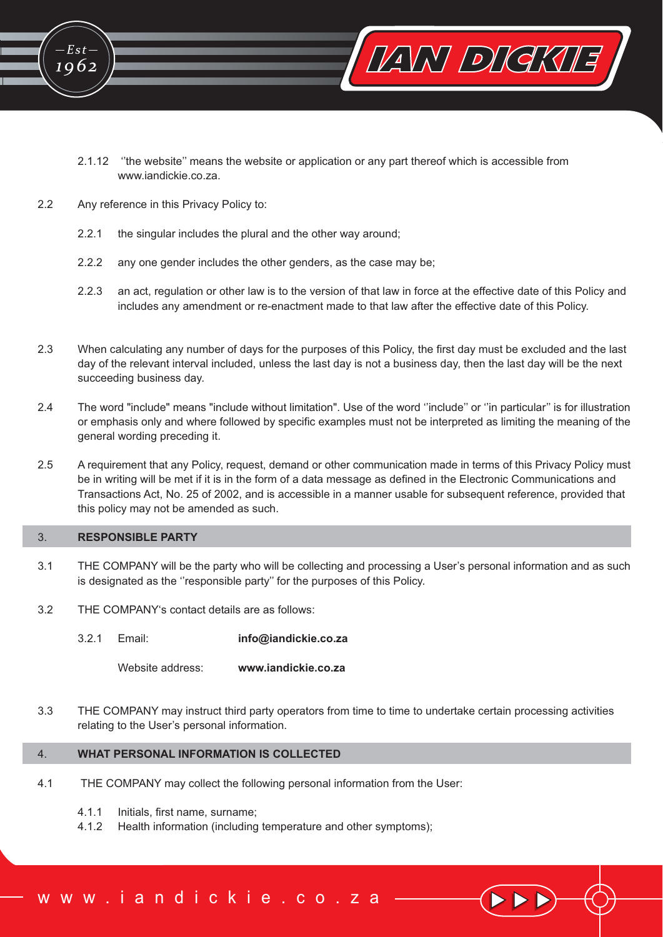

- 2.1.12 "the website" means the website or application or any part thereof which is accessible from www.jandickie.co.za.
- $22$ Any reference in this Privacy Policy to:
	- $2.2.1$ the singular includes the plural and the other way around;
	- $2.2.2$ any one gender includes the other genders, as the case may be:
	- $223$ an act, regulation or other law is to the version of that law in force at the effective date of this Policy and includes any amendment or re-enactment made to that law after the effective date of this Policy.
- $2.3$ When calculating any number of days for the purposes of this Policy, the first day must be excluded and the last day of the relevant interval included, unless the last day is not a business day, then the last day will be the next succeeding business day.
- $2.4$ The word "include" means "include without limitation". Use of the word "include" or "in particular" is for illustration or emphasis only and where followed by specific examples must not be interpreted as limiting the meaning of the general wording preceding it.
- $2.5$ A requirement that any Policy, request, demand or other communication made in terms of this Privacy Policy must be in writing will be met if it is in the form of a data message as defined in the Electronic Communications and Transactions Act, No. 25 of 2002, and is accessible in a manner usable for subsequent reference, provided that this policy may not be amended as such.

#### $3.$ **RESPONSIBLE PARTY**

- THE COMPANY will be the party who will be collecting and processing a User's personal information and as such  $3.1$ is designated as the "responsible party" for the purposes of this Policy.
- 32 THE COMPANY's contact details are as follows:
	- $321$ Fmail: info@iandickie.co.za

Website address: www.iandickie.co.za

 $3.3$ THE COMPANY may instruct third party operators from time to time to undertake certain processing activities relating to the User's personal information.

## WHAT PERSONAL INFORMATION IS COLLECTED  $\overline{4}$

- $4.1$ THE COMPANY may collect the following personal information from the User:
	- $4.1.1$ Initials, first name, surname:
	- $4.1.2$ Health information (including temperature and other symptoms);

ww.iandickie.co.za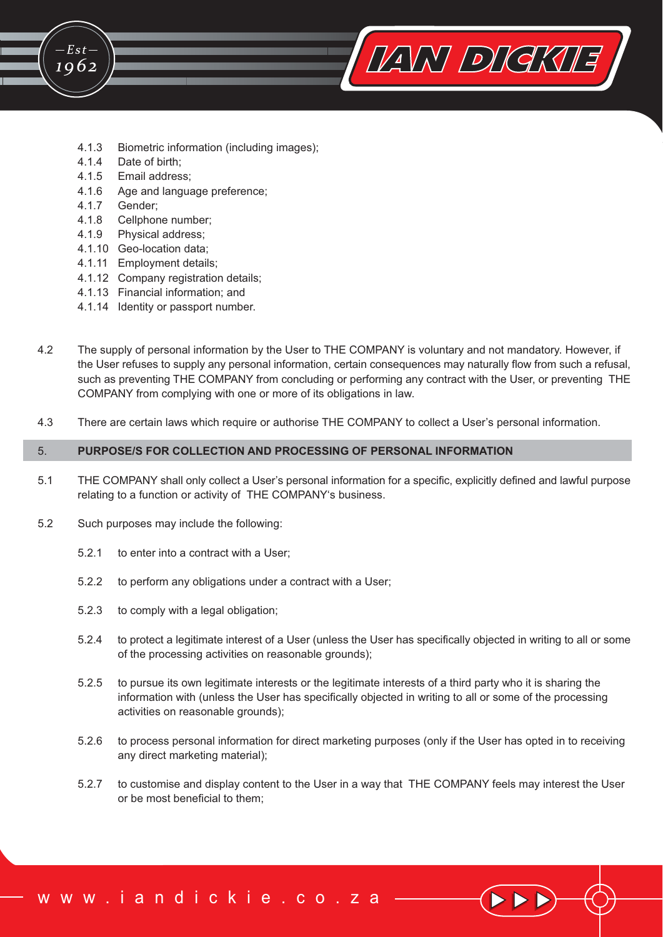

- $4.1.4$ Date of birth;
- 4.1.5 Email address;
- 4.1.6 Age and language preference;
- $4.1.7$ Gender:

 $E$ st

1962

- 4.1.8 Cellphone number:
- 4.1.9 Physical address;
- 4.1.10 Geo-location data;
- 4.1.11 Employment details:
- 4.1.12 Company registration details;
- 4.1.13 Financial information; and
- 4.1.14 Identity or passport number.
- 42 The supply of personal information by the User to THE COMPANY is voluntary and not mandatory. However, if the User refuses to supply any personal information, certain consequences may naturally flow from such a refusal, such as preventing THE COMPANY from concluding or performing any contract with the User, or preventing THE COMPANY from complying with one or more of its obligations in law.

VANY DIGKUE

There are certain laws which require or authorise THE COMPANY to collect a User's personal information. 43

## 5. PURPOSE/S FOR COLLECTION AND PROCESSING OF PERSONAL INFORMATION

- $5.1$ THE COMPANY shall only collect a User's personal information for a specific, explicitly defined and lawful purpose relating to a function or activity of THE COMPANY's business.
- 5.2 Such purposes may include the following:
	- $5.2.1$ to enter into a contract with a User;
	- $5.2.2$ to perform any obligations under a contract with a User;
	- 523 to comply with a legal obligation;
	- $5.2.4$ to protect a legitimate interest of a User (unless the User has specifically objected in writing to all or some of the processing activities on reasonable grounds):
	- $5.2.5$ to pursue its own legitimate interests or the legitimate interests of a third party who it is sharing the information with (unless the User has specifically objected in writing to all or some of the processing activities on reasonable grounds);
	- $5.2.6$ to process personal information for direct marketing purposes (only if the User has opted in to receiving any direct marketing material);
	- $5.2.7$ to customise and display content to the User in a way that THE COMPANY feels may interest the User or be most beneficial to them: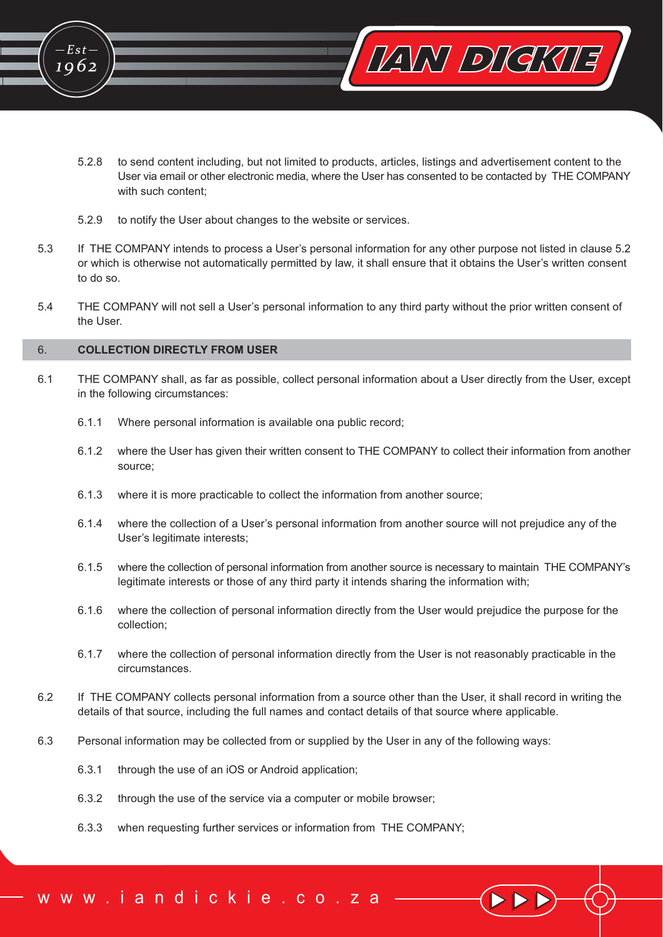

- $5.2.8$ to send content including, but not limited to products, articles, listings and advertisement content to the User via email or other electronic media, where the User has consented to be contacted by THE COMPANY with such content:
- 529 to notify the User about changes to the website or services.
- 5.3 If THE COMPANY intends to process a User's personal information for any other purpose not listed in clause 5.2 or which is otherwise not automatically permitted by law, it shall ensure that it obtains the User's written consent to do so.
- THE COMPANY will not sell a User's personal information to any third party without the prior written consent of  $5.4$ the User.

#### COLLECTION DIRECTLY FROM LISER  $6^{\circ}$

 $E$ st

1062

- 61 THE COMPANY shall, as far as possible, collect personal information about a User directly from the User, except in the following circumstances:
	- 611 Where personal information is available ona public record;
	- $6.1.2$ where the User has given their written consent to THE COMPANY to collect their information from another source:
	- $6.1.3$ where it is more practicable to collect the information from another source;
	- 614 where the collection of a User's personal information from another source will not prejudice any of the User's legitimate interests;
	- $6.1.5$ where the collection of personal information from another source is necessary to maintain THE COMPANY's legitimate interests or those of any third party it intends sharing the information with;
	- 616 where the collection of personal information directly from the User would prejudice the purpose for the collection:
	- 617 where the collection of personal information directly from the User is not reasonably practicable in the circumstances.
- If THE COMPANY collects personal information from a source other than the User, it shall record in writing the 6.2 details of that source, including the full names and contact details of that source where applicable.
- 6.3 Personal information may be collected from or supplied by the User in any of the following ways:
	- $6.3.1$ through the use of an iOS or Android application;
	- 6.3.2 through the use of the service via a computer or mobile browser;
	- 6.3.3 when requesting further services or information from THE COMPANY;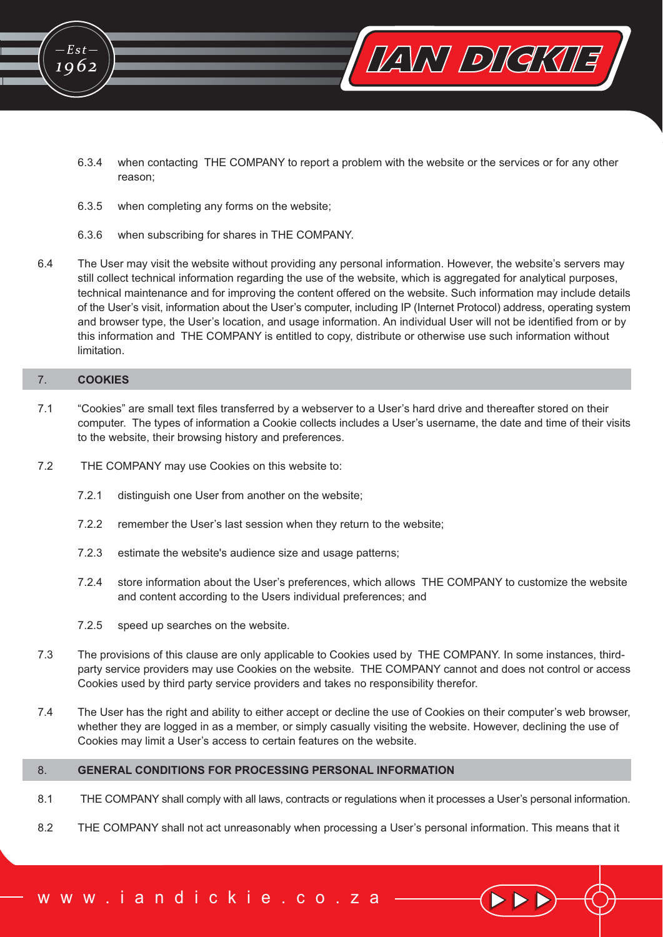

VANY DIGKUE

- 6.3.5 when completing any forms on the website;
- 6.3.6 when subscribing for shares in THE COMPANY.
- 64 The User may visit the website without providing any personal information. However, the website's servers may still collect technical information regarding the use of the website, which is aggregated for analytical purposes, technical maintenance and for improving the content offered on the website. Such information may include details of the User's visit, information about the User's computer, including IP (Internet Protocol) address, operating system and browser type, the User's location, and usage information. An individual User will not be identified from or by this information and THE COMPANY is entitled to copy, distribute or otherwise use such information without limitation

#### $7.$ **COOKIES**

 $E$ st-

1062

- $7.1$ "Cookies" are small text files transferred by a webserver to a User's hard drive and thereafter stored on their computer. The types of information a Cookie collects includes a User's username, the date and time of their visits to the website, their browsing history and preferences.
- $7.2$ THE COMPANY may use Cookies on this website to:
	- 721 distinguish one User from another on the website;
	- $7.2.2$ remember the User's last session when they return to the website;
	- $7.2.3$ estimate the website's audience size and usage patterns;
	- 724 store information about the User's preferences, which allows THE COMPANY to customize the website and content according to the Users individual preferences; and
	- $7.2.5$ speed up searches on the website.
- $7.3$ The provisions of this clause are only applicable to Cookies used by THE COMPANY. In some instances, thirdparty service providers may use Cookies on the website. THE COMPANY cannot and does not control or access Cookies used by third party service providers and takes no responsibility therefor.
- $7.4$ The User has the right and ability to either accept or decline the use of Cookies on their computer's web browser, whether they are logged in as a member, or simply casually visiting the website. However, declining the use of Cookies may limit a User's access to certain features on the website.

#### **GENERAL CONDITIONS FOR PROCESSING PERSONAL INFORMATION** 8.

- $8.1$ THE COMPANY shall comply with all laws, contracts or regulations when it processes a User's personal information.
- $8.2$ THE COMPANY shall not act unreasonably when processing a User's personal information. This means that it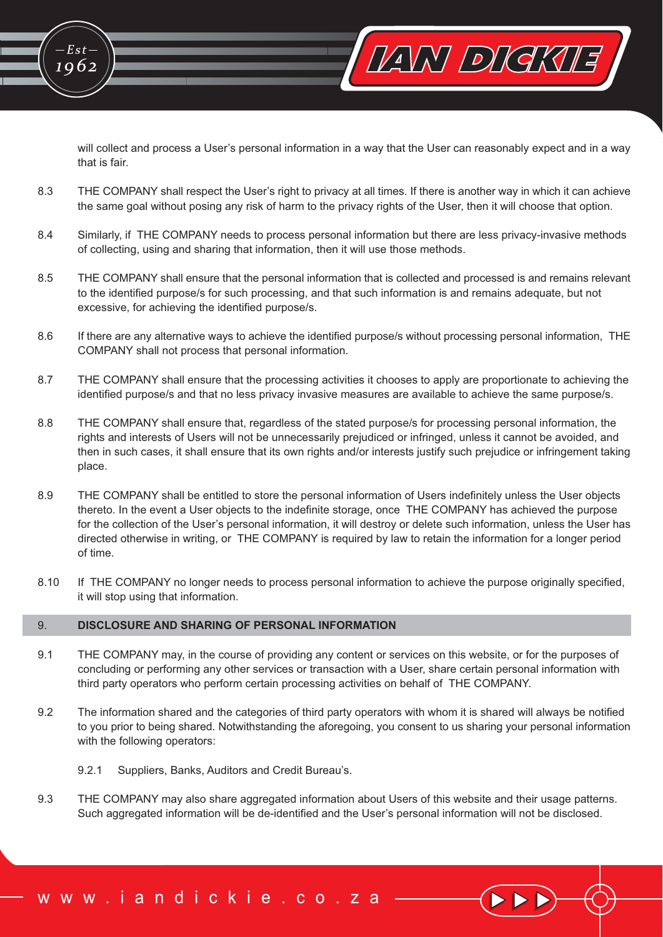will collect and process a User's personal information in a way that the User can reasonably expect and in a way that is fair.

VANY DIGKUE

- $8.3$ THE COMPANY shall respect the User's right to privacy at all times. If there is another way in which it can achieve the same goal without posing any risk of harm to the privacy rights of the User, then it will choose that option.
- Similarly, if THE COMPANY needs to process personal information but there are less privacy-invasive methods 8.4 of collecting, using and sharing that information, then it will use those methods.
- 8.5 THE COMPANY shall ensure that the personal information that is collected and processed is and remains relevant to the identified purpose/s for such processing, and that such information is and remains adequate, but not excessive, for achieving the identified purpose/s.
- 8.6 If there are any alternative ways to achieve the identified purpose/s without processing personal information, THE COMPANY shall not process that personal information.
- 8.7 THE COMPANY shall ensure that the processing activities it chooses to apply are proportionate to achieving the identified purpose/s and that no less privacy invasive measures are available to achieve the same purpose/s.
- 8.8 THE COMPANY shall ensure that, regardless of the stated purpose/s for processing personal information, the rights and interests of Users will not be unnecessarily prejudiced or infringed, unless it cannot be avoided, and then in such cases, it shall ensure that its own rights and/or interests justify such prejudice or infringement taking place.
- 89 THE COMPANY shall be entitled to store the personal information of Users indefinitely unless the User objects thereto. In the event a User objects to the indefinite storage, once THE COMPANY has achieved the purpose for the collection of the User's personal information, it will destroy or delete such information, unless the User has directed otherwise in writing, or THE COMPANY is required by law to retain the information for a longer period of time.
- 8.10 If THE COMPANY no longer needs to process personal information to achieve the purpose originally specified. it will stop using that information.

#### 9. DISCLOSURE AND SHARING OF PERSONAL INFORMATION

 $Est$ 

1962

- $9.1$ THE COMPANY may, in the course of providing any content or services on this website, or for the purposes of concluding or performing any other services or transaction with a User, share certain personal information with third party operators who perform certain processing activities on behalf of THE COMPANY.
- 9.2 The information shared and the categories of third party operators with whom it is shared will always be notified to you prior to being shared. Notwithstanding the aforegoing, you consent to us sharing your personal information with the following operators:
	- $9.2.1$ Suppliers, Banks, Auditors and Credit Bureau's.
- 9.3 THE COMPANY may also share aggregated information about Users of this website and their usage patterns. Such aggregated information will be de-identified and the User's personal information will not be disclosed.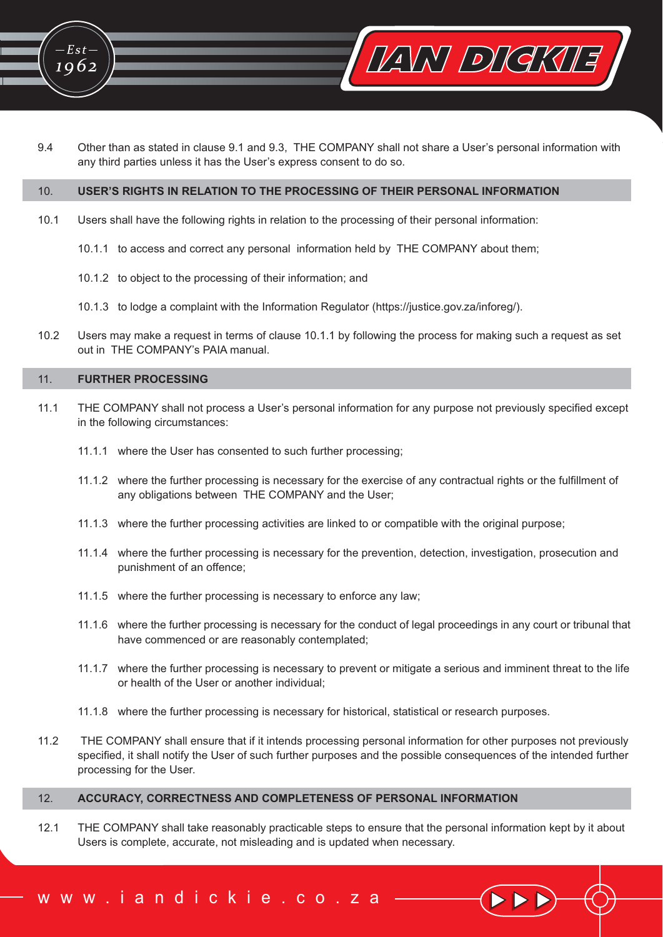

Other than as stated in clause 9.1 and 9.3, THE COMPANY shall not share a User's personal information with 9.4 any third parties unless it has the User's express consent to do so.

#### $10<sub>1</sub>$ USER'S RIGHTS IN RELATION TO THE PROCESSING OF THEIR PERSONAL INFORMATION

- $10.1$ Users shall have the following rights in relation to the processing of their personal information:
	- 10.1.1 to access and correct any personal information held by THE COMPANY about them;
	- 10.1.2 to object to the processing of their information; and
	- 10.1.3 to lodge a complaint with the Information Regulator (https://justice.gov.za/inforeg/).
- $10.2$ Users may make a request in terms of clause 10.1.1 by following the process for making such a request as set out in THE COMPANY's PAIA manual.

#### **FURTHER PROCESSING**  $11$

 $Est -$ 

1062

- $11.1$ THE COMPANY shall not process a User's personal information for any purpose not previously specified except in the following circumstances:
	- 11.1.1 where the User has consented to such further processing;
	- 11.1.2 where the further processing is necessary for the exercise of any contractual rights or the fulfillment of any obligations between THE COMPANY and the User;
	- 11.1.3 where the further processing activities are linked to or compatible with the original purpose;
	- 11.1.4 where the further processing is necessary for the prevention, detection, investigation, prosecution and punishment of an offence:
	- 11.1.5 where the further processing is necessary to enforce any law;
	- 11.1.6 where the further processing is necessary for the conduct of legal proceedings in any court or tribunal that have commenced or are reasonably contemplated;
	- 11.1.7 where the further processing is necessary to prevent or mitigate a serious and imminent threat to the life or health of the User or another individual;
	- 11.1.8 where the further processing is necessary for historical, statistical or research purposes.
- $11.2$ THE COMPANY shall ensure that if it intends processing personal information for other purposes not previously specified, it shall notify the User of such further purposes and the possible consequences of the intended further processing for the User.

#### ACCURACY, CORRECTNESS AND COMPLETENESS OF PERSONAL INFORMATION  $12.$

ww.iandickie.co.za

 $12.1$ THE COMPANY shall take reasonably practicable steps to ensure that the personal information kept by it about Users is complete, accurate, not misleading and is updated when necessary.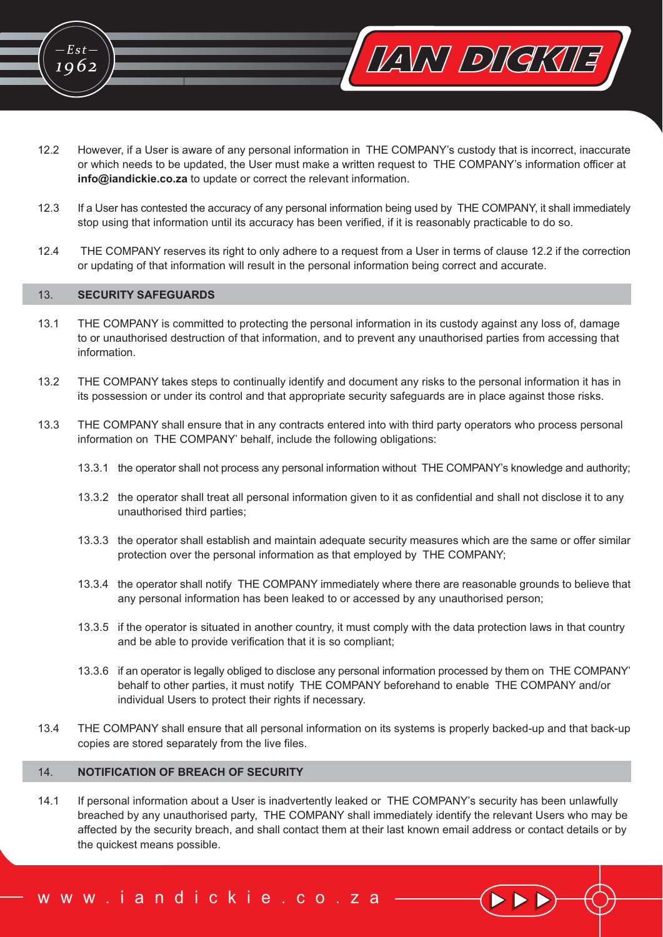

- $12.2$ However, if a User is aware of any personal information in THE COMPANY's custody that is incorrect, inaccurate or which needs to be updated, the User must make a written request to THE COMPANY's information officer at info@iandickie.co.za to update or correct the relevant information.
- $12.3$ If a User has contested the accuracy of any personal information being used by THE COMPANY, it shall immediately stop using that information until its accuracy has been verified, if it is reasonably practicable to do so.
- $12.4$ THE COMPANY reserves its right to only adhere to a request from a User in terms of clause 12.2 if the correction or updating of that information will result in the personal information being correct and accurate.

#### **SECURITY SAFEGUARDS**  $13<sup>°</sup>$

 $Est$ 

1962

- $13.1$ THE COMPANY is committed to protecting the personal information in its custody against any loss of, damage to or unauthorised destruction of that information, and to prevent any unauthorised parties from accessing that information.
- $13.2$ THE COMPANY takes steps to continually identify and document any risks to the personal information it has in its possession or under its control and that appropriate security safeguards are in place against those risks.
- $13.3$ THE COMPANY shall ensure that in any contracts entered into with third party operators who process personal information on THE COMPANY' behalf, include the following obligations:
	- 13.3.1 the operator shall not process any personal information without THE COMPANY's knowledge and authority;
	- 13.3.2 the operator shall treat all personal information given to it as confidential and shall not disclose it to any unauthorised third parties;
	- 13.3.3 the operator shall establish and maintain adequate security measures which are the same or offer similar protection over the personal information as that employed by THE COMPANY;
	- 13.3.4 the operator shall notify THE COMPANY immediately where there are reasonable grounds to believe that any personal information has been leaked to or accessed by any unauthorised person;
	- 13.3.5 if the operator is situated in another country, it must comply with the data protection laws in that country and be able to provide verification that it is so compliant;
	- 13.3.6 if an operator is legally obliged to disclose any personal information processed by them on THE COMPANY behalf to other parties, it must notify THE COMPANY beforehand to enable THE COMPANY and/or individual Users to protect their rights if necessary.
- $13.4$ THE COMPANY shall ensure that all personal information on its systems is properly backed-up and that back-up copies are stored separately from the live files.

#### $14.$ **NOTIFICATION OF BREACH OF SECURITY**

ww.iandickie.co.za

 $14.1$ If personal information about a User is inadvertently leaked or THE COMPANY's security has been unlawfully breached by any unauthorised party, THE COMPANY shall immediately identify the relevant Users who may be affected by the security breach, and shall contact them at their last known email address or contact details or by the quickest means possible.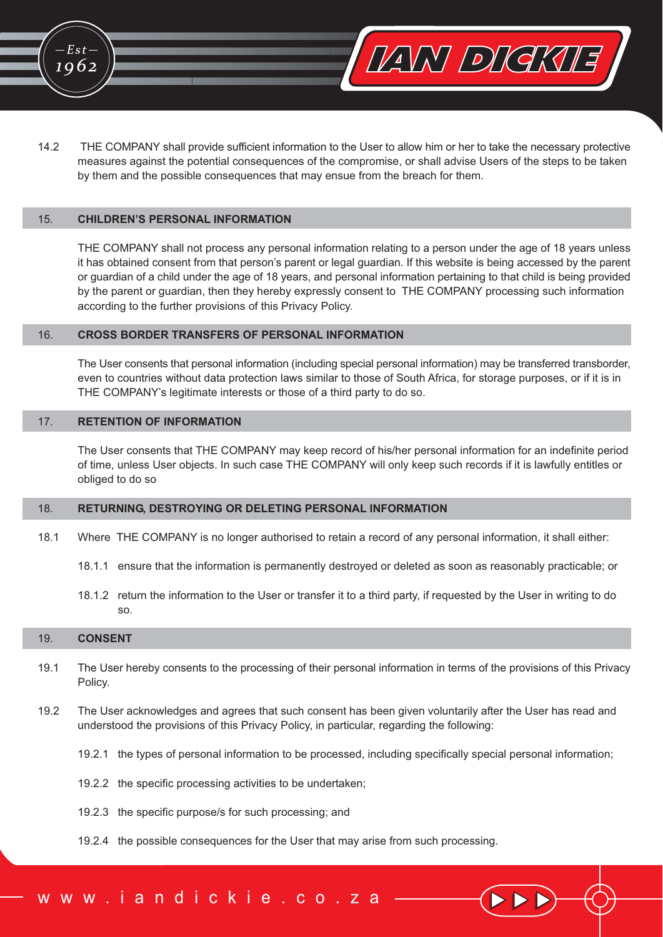



 $14.2$ THE COMPANY shall provide sufficient information to the User to allow him or her to take the necessary protective measures against the potential consequences of the compromise, or shall advise Users of the steps to be taken by them and the possible consequences that may ensue from the breach for them.

#### **CHILDREN'S PERSONAL INFORMATION**  $15.$

THE COMPANY shall not process any personal information relating to a person under the age of 18 years unless it has obtained consent from that person's parent or legal guardian. If this website is being accessed by the parent or guardian of a child under the age of 18 years, and personal information pertaining to that child is being provided by the parent or guardian, then they hereby expressly consent to THE COMPANY processing such information according to the further provisions of this Privacy Policy.

#### **CROSS BORDER TRANSFERS OF PERSONAL INFORMATION** 16.

The User consents that personal information (including special personal information) may be transferred transborder, even to countries without data protection laws similar to those of South Africa, for storage purposes, or if it is in THE COMPANY's legitimate interests or those of a third party to do so.

#### $17.$ **RETENTION OF INFORMATION**

The User consents that THE COMPANY may keep record of his/her personal information for an indefinite period of time, unless User objects. In such case THE COMPANY will only keep such records if it is lawfully entitles or obliged to do so

#### RETURNING, DESTROYING OR DELETING PERSONAL INFORMATION 18.

- $18.1$ Where THE COMPANY is no longer authorised to retain a record of any personal information, it shall either:
	- 18.1.1 ensure that the information is permanently destroyed or deleted as soon as reasonably practicable; or
	- 18.1.2 return the information to the User or transfer it to a third party, if requested by the User in writing to do  $SO<sub>2</sub>$

#### 19. **CONSENT**

- The User hereby consents to the processing of their personal information in terms of the provisions of this Privacy  $19.1$ Policy.
- 19.2 The User acknowledges and agrees that such consent has been given voluntarily after the User has read and understood the provisions of this Privacy Policy, in particular, regarding the following:
	- 19.2.1 the types of personal information to be processed, including specifically special personal information;
	- 19.2.2 the specific processing activities to be undertaken;
	- 19.2.3 the specific purpose/s for such processing; and
	- 19.2.4 the possible consequences for the User that may arise from such processing.